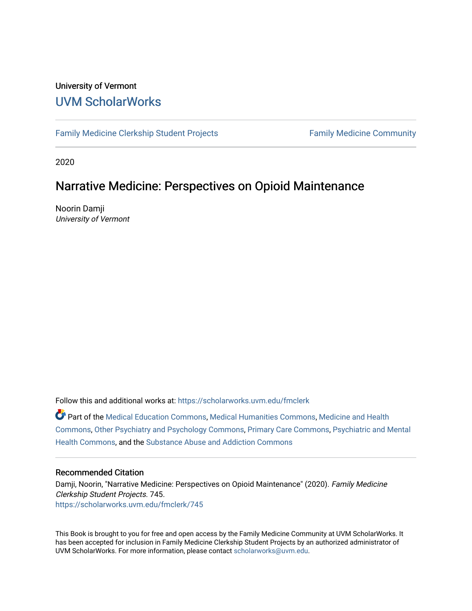#### University of Vermont [UVM ScholarWorks](https://scholarworks.uvm.edu/)

[Family Medicine Clerkship Student Projects](https://scholarworks.uvm.edu/fmclerk) Family Medicine Community

2020

#### Narrative Medicine: Perspectives on Opioid Maintenance

Noorin Damji University of Vermont

Follow this and additional works at: [https://scholarworks.uvm.edu/fmclerk](https://scholarworks.uvm.edu/fmclerk?utm_source=scholarworks.uvm.edu%2Ffmclerk%2F745&utm_medium=PDF&utm_campaign=PDFCoverPages) 

Part of the [Medical Education Commons,](http://network.bepress.com/hgg/discipline/1125?utm_source=scholarworks.uvm.edu%2Ffmclerk%2F745&utm_medium=PDF&utm_campaign=PDFCoverPages) [Medical Humanities Commons](http://network.bepress.com/hgg/discipline/1303?utm_source=scholarworks.uvm.edu%2Ffmclerk%2F745&utm_medium=PDF&utm_campaign=PDFCoverPages), [Medicine and Health](http://network.bepress.com/hgg/discipline/422?utm_source=scholarworks.uvm.edu%2Ffmclerk%2F745&utm_medium=PDF&utm_campaign=PDFCoverPages)  [Commons](http://network.bepress.com/hgg/discipline/422?utm_source=scholarworks.uvm.edu%2Ffmclerk%2F745&utm_medium=PDF&utm_campaign=PDFCoverPages), [Other Psychiatry and Psychology Commons,](http://network.bepress.com/hgg/discipline/992?utm_source=scholarworks.uvm.edu%2Ffmclerk%2F745&utm_medium=PDF&utm_campaign=PDFCoverPages) [Primary Care Commons](http://network.bepress.com/hgg/discipline/1092?utm_source=scholarworks.uvm.edu%2Ffmclerk%2F745&utm_medium=PDF&utm_campaign=PDFCoverPages), [Psychiatric and Mental](http://network.bepress.com/hgg/discipline/711?utm_source=scholarworks.uvm.edu%2Ffmclerk%2F745&utm_medium=PDF&utm_campaign=PDFCoverPages)  [Health Commons,](http://network.bepress.com/hgg/discipline/711?utm_source=scholarworks.uvm.edu%2Ffmclerk%2F745&utm_medium=PDF&utm_campaign=PDFCoverPages) and the [Substance Abuse and Addiction Commons](http://network.bepress.com/hgg/discipline/710?utm_source=scholarworks.uvm.edu%2Ffmclerk%2F745&utm_medium=PDF&utm_campaign=PDFCoverPages) 

#### Recommended Citation

Damji, Noorin, "Narrative Medicine: Perspectives on Opioid Maintenance" (2020). Family Medicine Clerkship Student Projects. 745. [https://scholarworks.uvm.edu/fmclerk/745](https://scholarworks.uvm.edu/fmclerk/745?utm_source=scholarworks.uvm.edu%2Ffmclerk%2F745&utm_medium=PDF&utm_campaign=PDFCoverPages) 

This Book is brought to you for free and open access by the Family Medicine Community at UVM ScholarWorks. It has been accepted for inclusion in Family Medicine Clerkship Student Projects by an authorized administrator of UVM ScholarWorks. For more information, please contact [scholarworks@uvm.edu.](mailto:scholarworks@uvm.edu)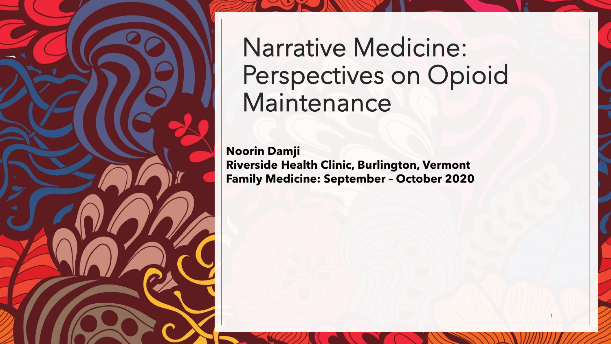

Narrative Medicine: Perspectives on Opioid Maintenance

**Noorin Damji Riverside Health Clinic, Burlington, Vermont Family Medicine: September – October 2020**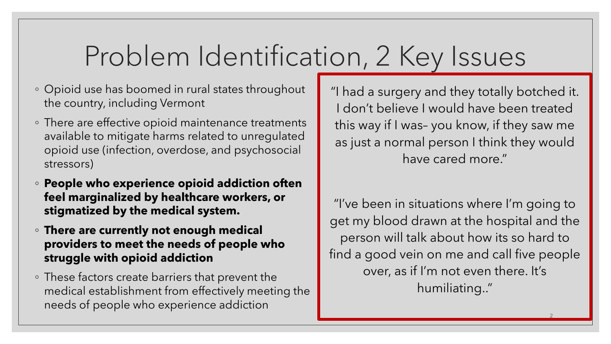## Problem Identification, 2 Key Issues

- Opioid use has boomed in rural states throughout the country, including Vermont
- There are effective opioid maintenance treatments available to mitigate harms related to unregulated opioid use (infection, overdose, and psychosocial stressors)
- **People who experience opioid addiction often feel marginalized by healthcare workers, or stigmatized by the medical system.**
- **There are currently not enough medical providers to meet the needs of people who struggle with opioid addiction**
- These factors create barriers that prevent the medical establishment from effectively meeting the needs of people who experience addiction

"I had a surgery and they totally botched it. I don't believe I would have been treated this way if I was– you know, if they saw me as just a normal person I think they would have cared more."

"I've been in situations where I'm going to get my blood drawn at the hospital and the person will talk about how its so hard to find a good vein on me and call five people over, as if I'm not even there. It's humiliating.."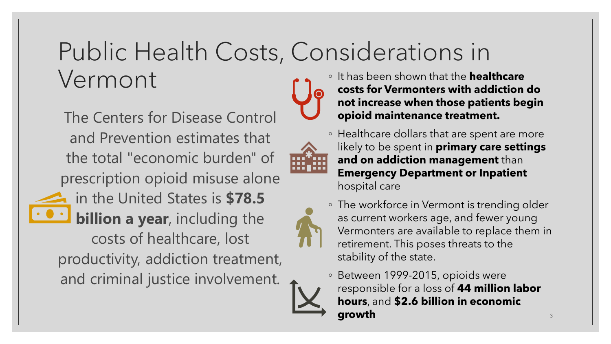### Public Health Costs, Considerations in Vermont ◦ It has been shown that the **healthcare**



The Centers for Disease Control and Prevention estimates that the total "economic burden" of prescription opioid misuse alone in the United States is **\$78.5 billion a year**, including the costs of healthcare, lost productivity, addiction treatment, and criminal justice involvement.



**costs for Vermonters with addiction do not increase when those patients begin opioid maintenance treatment.** 



likely to be spent in **primary care settings and on addiction management** than **Emergency Department or Inpatient**  hospital care

- The workforce in Vermont is trending older as current workers age, and fewer young Vermonters are available to replace them in retirement. This poses threats to the stability of the state.
- Between 1999-2015, opioids were responsible for a loss of **44 million labor hours**, and **\$2.6 billion in economic growth** 3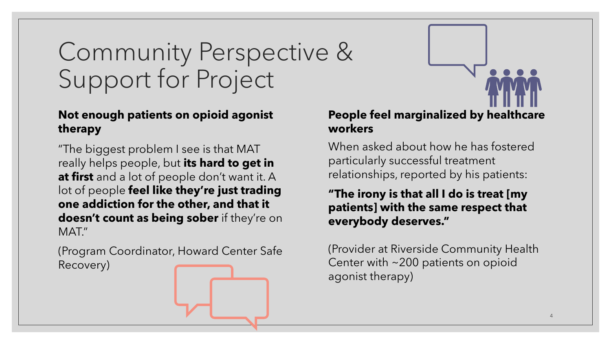## Community Perspective & Support for Project

### **Not enough patients on opioid agonist therapy**

"The biggest problem I see is that MAT really helps people, but **its hard to get in at first** and a lot of people don't want it. A lot of people **feel like they're just trading one addiction for the other, and that it doesn't count as being sober** if they're on MAT."

(Program Coordinator, Howard Center Safe Recovery)

#### **People feel marginalized by healthcare workers**

When asked about how he has fostered particularly successful treatment relationships, reported by his patients:

**"The irony is that all I do is treat [my patients] with the same respect that everybody deserves."** 

(Provider at Riverside Community Health Center with ~200 patients on opioid agonist therapy)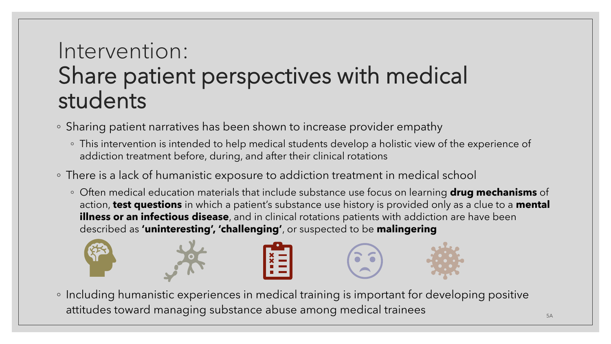### Intervention: Share patient perspectives with medical students

- Sharing patient narratives has been shown to increase provider empathy
	- This intervention is intended to help medical students develop a holistic view of the experience of addiction treatment before, during, and after their clinical rotations
- There is a lack of humanistic exposure to addiction treatment in medical school
	- Often medical education materials that include substance use focus on learning **drug mechanisms** of action, **test questions** in which a patient's substance use history is provided only as a clue to a **mental illness or an infectious disease**, and in clinical rotations patients with addiction are have been described as **'uninteresting', 'challenging'**, or suspected to be **malingering**



◦ Including humanistic experiences in medical training is important for developing positive attitudes toward managing substance abuse among medical trainees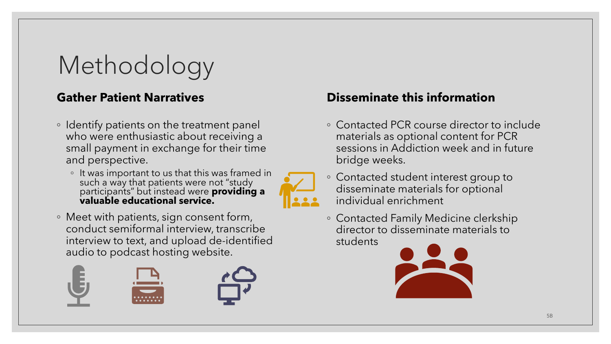## Methodology

### **Gather Patient Narratives**

- Identify patients on the treatment panel who were enthusiastic about receiving a small payment in exchange for their time and perspective.
	- $\, \circ \,$  It was important to us that this was framed in such a way that patients were not "study participants" but instead were **providing a valuable educational service.**
- Meet with patients, sign consent form, conduct semiformal interview, transcribe interview to text, and upload de-identified audio to podcast hosting website.





- Contacted PCR course director to include materials as optional content for PCR sessions in Addiction week and in future bridge weeks.
- Contacted student interest group to disseminate materials for optional individual enrichment
- Contacted Family Medicine clerkship director to disseminate materials to students

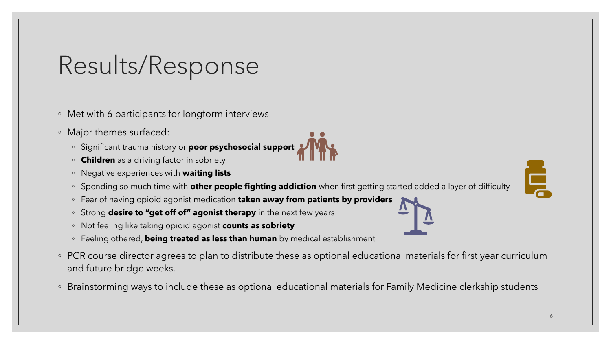### Results/Response

◦ Met with 6 participants for longform interviews

- Major themes surfaced:
	- Significant trauma history or **poor psychosocial support**
	- **Children** as a driving factor in sobriety
	- Negative experiences with **waiting lists**
	- Spending so much time with **other people fighting addiction** when first getting started added a layer of difficulty
	- Fear of having opioid agonist medication **taken away from patients by providers**
	- Strong **desire to "get off of" agonist therapy** in the next few years
	- Not feeling like taking opioid agonist **counts as sobriety**
	- Feeling othered, **being treated as less than human** by medical establishment
- PCR course director agrees to plan to distribute these as optional educational materials for first year curriculum and future bridge weeks.
- Brainstorming ways to include these as optional educational materials for Family Medicine clerkship students

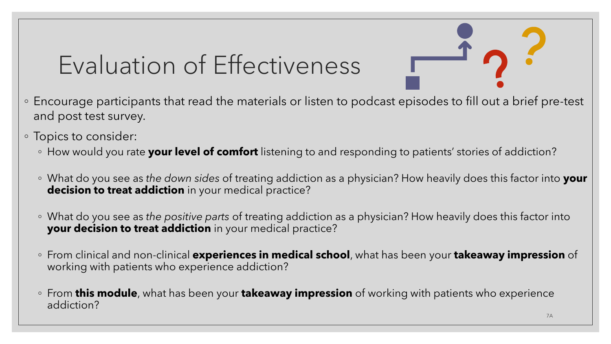## Evaluation of Effectiveness

- Encourage participants that read the materials or listen to podcast episodes to fill out a brief pre-test and post test survey.
- Topics to consider:
	- How would you rate **your level of comfort** listening to and responding to patients' stories of addiction?
	- What do you see as *the down sides* of treating addiction as a physician? How heavily does this factor into **your decision to treat addiction** in your medical practice?
	- What do you see as *the positive parts* of treating addiction as a physician? How heavily does this factor into **your decision to treat addiction** in your medical practice?
	- From clinical and non-clinical **experiences in medical school**, what has been your **takeaway impression** of working with patients who experience addiction?
	- From **this module**, what has been your **takeaway impression** of working with patients who experience addiction?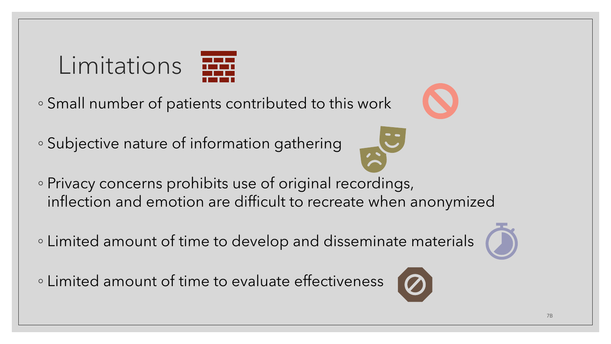# Limitations

- Small number of patients contributed to this work
- Subjective nature of information gathering
- 
- Privacy concerns prohibits use of original recordings, inflection and emotion are difficult to recreate when anonymized
- Limited amount of time to develop and disseminate materials
- Limited amount of time to evaluate effectiveness





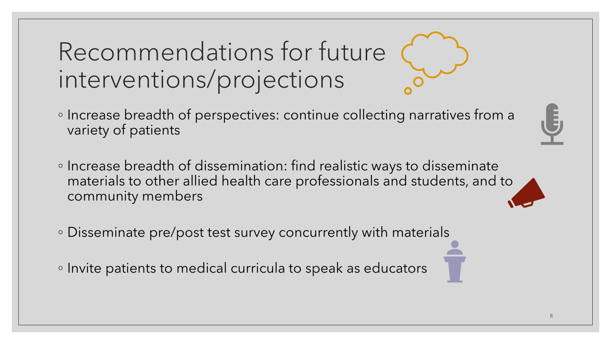Recommendations for future interventions/projections

- Increase breadth of perspectives: continue collecting narratives from a variety of patients
- Increase breadth of dissemination: find realistic ways to disseminate materials to other allied health care professionals and students, and to community members
- Disseminate pre/post test survey concurrently with materials

◦ Invite patients to medical curricula to speak as educators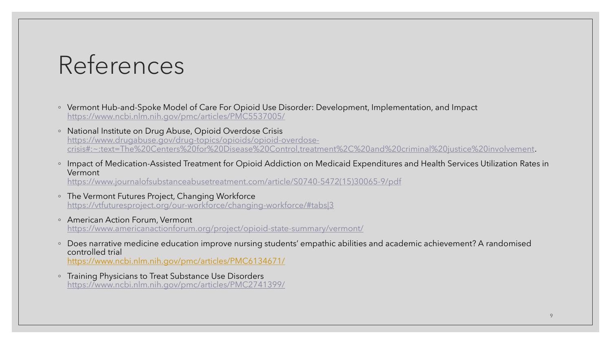## References

- Vermont Hub-and-Spoke Model of Care For Opioid Use Disorder: Development, Implementation, and Impact <https://www.ncbi.nlm.nih.gov/pmc/articles/PMC5537005/>
- National Institute on Drug Abuse, Opioid Overdose Crisis https://www.drugabuse.gov/drug-topics/opioids/opioid-overdose[crisis#:~:text=The%20Centers%20for%20Disease%20Control,treatment%2C%20and%20criminal%20justice%20involvement](https://www.drugabuse.gov/drug-topics/opioids/opioid-overdose-crisis#:~:text=The%20Centers%20for%20Disease%20Control,treatment%2C%20and%20criminal%20justice%20involvement).
- Impact of Medication-Assisted Treatment for Opioid Addiction on Medicaid Expenditures and Health Services Utilization Rates in Vermont

[https://www.journalofsubstanceabusetreatment.com/article/S0740-5472\(15\)30065-9/pdf](https://www.journalofsubstanceabusetreatment.com/article/S0740-5472(15)30065-9/pdf)

- The Vermont Futures Project, Changing Workforce <https://vtfuturesproject.org/our-workforce/changing-workforce/#tabs|3>
- American Action Forum, Vermont <https://www.americanactionforum.org/project/opioid-state-summary/vermont/>
- Does narrative medicine education improve nursing students' empathic abilities and academic achievement? A randomised controlled trial <https://www.ncbi.nlm.nih.gov/pmc/articles/PMC6134671/>
- Training Physicians to Treat Substance Use Disorders <https://www.ncbi.nlm.nih.gov/pmc/articles/PMC2741399/>